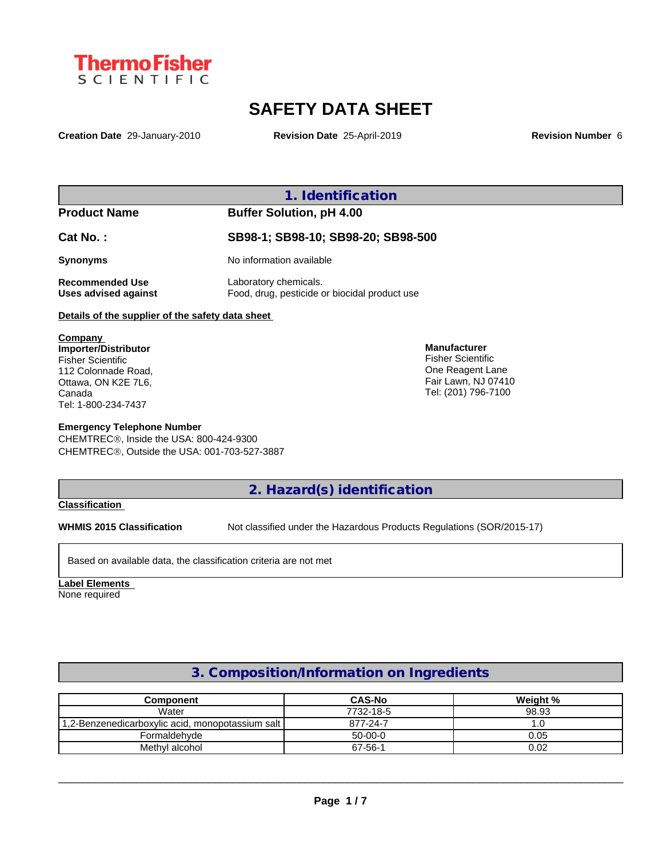

# **SAFETY DATA SHEET**

**Creation Date** 29-January-2010 **Revision Date** 25-April-2019 **Revision Number** 6

**1. Identification**

#### **Product Name Buffer Solution, pH 4.00**

**Cat No. : SB98-1; SB98-10; SB98-20; SB98-500**

**Synonyms** No information available

**Recommended Use** Laboratory chemicals. **Uses advised against** Food, drug, pesticide or biocidal product use

### **Details of the supplier of the safety data sheet**

**Company Importer/Distributor** Fisher Scientific 112 Colonnade Road, Ottawa, ON K2E 7L6, Canada Tel: 1-800-234-7437

#### **Emergency Telephone Number**

CHEMTREC®, Inside the USA: 800-424-9300 CHEMTRECÒ, Outside the USA: 001-703-527-3887

**Manufacturer** Fisher Scientific One Reagent Lane Fair Lawn, NJ 07410 Tel: (201) 796-7100

**2. Hazard(s) identification**

#### **Classification**

**WHMIS 2015 Classification** Not classified under the Hazardous Products Regulations (SOR/2015-17)

Based on available data, the classification criteria are not met

**Label Elements** None required

## **3. Composition/Information on Ingredients**

| Component                                        | <b>CAS-No</b> | Weight % |
|--------------------------------------------------|---------------|----------|
| Water                                            | 7732-18-5     | 98.93    |
| 1,2-Benzenedicarboxylic acid, monopotassium salt | 877-24-7      | .u       |
| Formaldehyde                                     | $50-00-0$     | 0.05     |
| Methyl alcohol                                   | 67-56-1       | 0.02     |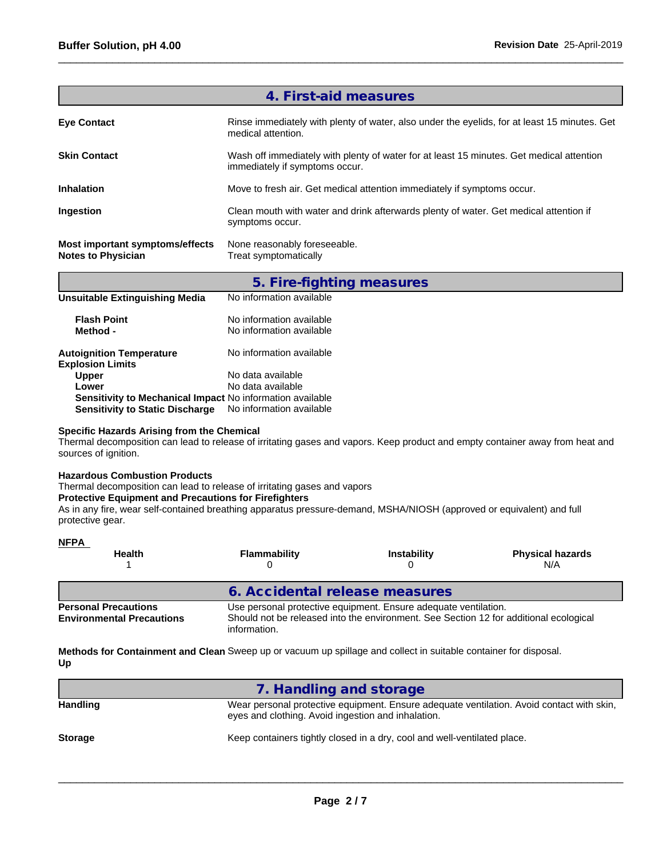|                                                                     | 4. First-aid measures                                                                                                      |
|---------------------------------------------------------------------|----------------------------------------------------------------------------------------------------------------------------|
| <b>Eye Contact</b>                                                  | Rinse immediately with plenty of water, also under the eyelids, for at least 15 minutes. Get<br>medical attention.         |
| <b>Skin Contact</b>                                                 | Wash off immediately with plenty of water for at least 15 minutes. Get medical attention<br>immediately if symptoms occur. |
| <b>Inhalation</b>                                                   | Move to fresh air. Get medical attention immediately if symptoms occur.                                                    |
| Ingestion                                                           | Clean mouth with water and drink afterwards plenty of water. Get medical attention if<br>symptoms occur.                   |
| <b>Most important symptoms/effects</b><br><b>Notes to Physician</b> | None reasonably foreseeable.<br>Treat symptomatically                                                                      |
|                                                                     |                                                                                                                            |

|                                                            | 5. Fire-fighting measures                            |
|------------------------------------------------------------|------------------------------------------------------|
| Unsuitable Extinguishing Media                             | No information available                             |
| <b>Flash Point</b><br>Method -                             | No information available<br>No information available |
| <b>Autoignition Temperature</b><br><b>Explosion Limits</b> | No information available                             |
| <b>Upper</b>                                               | No data available                                    |
| Lower                                                      | No data available                                    |
| Sensitivity to Mechanical Impact No information available  |                                                      |
| <b>Sensitivity to Static Discharge</b>                     | No information available                             |

## **Specific Hazards Arising from the Chemical**

Thermal decomposition can lead to release of irritating gases and vapors. Keep product and empty container away from heat and sources of ignition.

#### **Hazardous Combustion Products**

Thermal decomposition can lead to release of irritating gases and vapors

information.

#### **Protective Equipment and Precautions for Firefighters**

As in any fire, wear self-contained breathing apparatus pressure-demand, MSHA/NIOSH (approved or equivalent) and full protective gear.

| <b>NFPA</b><br><b>Health</b>                                    | Flammability                                                                                                                                             | <b>Instability</b> | <b>Physical hazards</b><br>N/A |  |  |
|-----------------------------------------------------------------|----------------------------------------------------------------------------------------------------------------------------------------------------------|--------------------|--------------------------------|--|--|
|                                                                 | 6. Accidental release measures                                                                                                                           |                    |                                |  |  |
| <b>Personal Precautions</b><br><b>Environmental Precautions</b> | Use personal protective equipment. Ensure adequate ventilation.<br>Should not be released into the environment. See Section 12 for additional ecological |                    |                                |  |  |

**Methods for Containment and Clean** Sweep up or vacuum up spillage and collect in suitable container for disposal. **Up**

|                 | 7. Handling and storage                                                                                                                         |
|-----------------|-------------------------------------------------------------------------------------------------------------------------------------------------|
| <b>Handling</b> | Wear personal protective equipment. Ensure adequate ventilation. Avoid contact with skin,<br>eyes and clothing. Avoid ingestion and inhalation. |
| <b>Storage</b>  | Keep containers tightly closed in a dry, cool and well-ventilated place.                                                                        |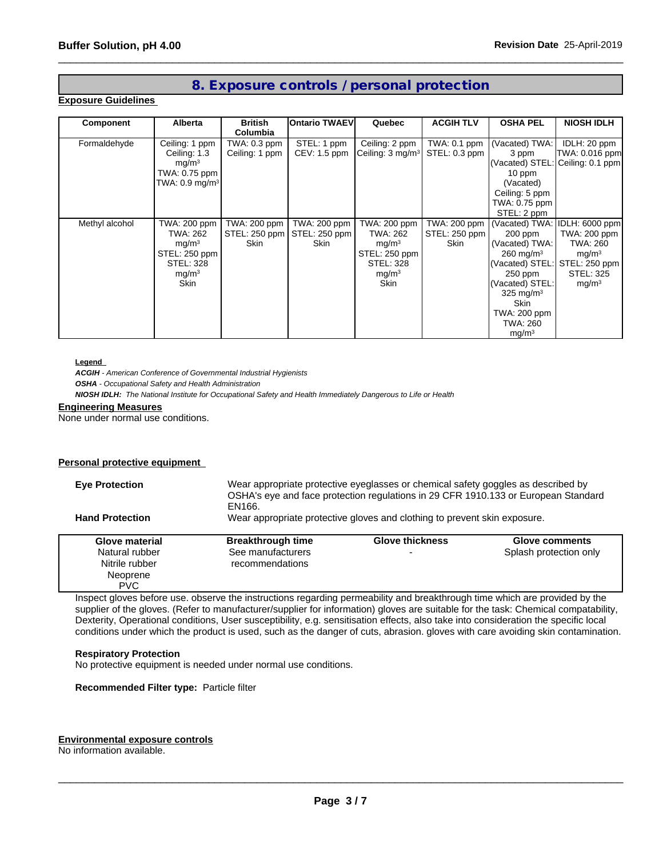## **8. Exposure controls / personal protection**

#### **Exposure Guidelines**

| Component      | <b>Alberta</b>               | <b>British</b><br>Columbia | <b>IOntario TWAEVI</b> | Quebec                       | <b>ACGIH TLV</b> | <b>OSHA PEL</b>               | <b>NIOSH IDLH</b>                |
|----------------|------------------------------|----------------------------|------------------------|------------------------------|------------------|-------------------------------|----------------------------------|
| Formaldehyde   | Ceiling: 1 ppm               | TWA: 0.3 ppm               | STEL: 1 ppm            | Ceiling: 2 ppm               | TWA: 0.1 ppm     | (Vacated) TWA:                | IDLH: 20 ppm                     |
|                | Ceiling: 1.3                 | Ceiling: 1 ppm             | $CEV: 1.5$ ppm         | Ceiling: 3 mg/m <sup>3</sup> | STEL: 0.3 ppm    | 3 ppm                         | TWA: 0.016 ppm                   |
|                | mq/m <sup>3</sup>            |                            |                        |                              |                  |                               | (Vacated) STEL: Ceiling: 0.1 ppm |
|                | TWA: 0.75 ppm                |                            |                        |                              |                  | 10 ppm                        |                                  |
|                | TWA: $0.9$ mg/m <sup>3</sup> |                            |                        |                              |                  | (Vacated)                     |                                  |
|                |                              |                            |                        |                              |                  | Ceiling: 5 ppm                |                                  |
|                |                              |                            |                        |                              |                  | TWA: 0.75 ppm                 |                                  |
|                |                              |                            |                        |                              |                  | STEL: 2 ppm                   |                                  |
| Methyl alcohol | TWA: 200 ppm                 | TWA: 200 ppm               | TWA: 200 ppm           | TWA: 200 ppm                 | TWA: 200 ppm     | (Vacated) TWA: IDLH: 6000 ppm |                                  |
|                | TWA: 262                     | STEL: 250 ppm              | STEL: 250 ppm          | TWA: 262                     | STEL: 250 ppm    | 200 ppm                       | TWA: 200 ppm                     |
|                | mq/m <sup>3</sup>            | <b>Skin</b>                | <b>Skin</b>            | mg/m <sup>3</sup>            | Skin             | (Vacated) TWA:                | TWA: 260                         |
|                | STEL: 250 ppm                |                            |                        | STEL: 250 ppm                |                  | $260$ mg/m <sup>3</sup>       | mg/m <sup>3</sup>                |
|                | <b>STEL: 328</b>             |                            |                        | <b>STEL: 328</b>             |                  |                               | (Vacated) STEL: STEL: 250 ppm    |
|                | mg/m <sup>3</sup>            |                            |                        | mg/m <sup>3</sup>            |                  | 250 ppm                       | <b>STEL: 325</b>                 |
|                | Skin                         |                            |                        | Skin                         |                  | (Vacated) STEL:               | mg/m <sup>3</sup>                |
|                |                              |                            |                        |                              |                  | 325 mg/m $3$                  |                                  |
|                |                              |                            |                        |                              |                  | Skin                          |                                  |
|                |                              |                            |                        |                              |                  | TWA: 200 ppm                  |                                  |
|                |                              |                            |                        |                              |                  | TWA: 260                      |                                  |
|                |                              |                            |                        |                              |                  | mg/m <sup>3</sup>             |                                  |

#### **Legend**

*ACGIH - American Conference of Governmental Industrial Hygienists*

*OSHA - Occupational Safety and Health Administration*

*NIOSH IDLH: The National Institute for Occupational Safety and Health Immediately Dangerous to Life or Health*

#### **Engineering Measures**

None under normal use conditions.

#### **Personal protective equipment**

| Wear appropriate protective eyeglasses or chemical safety goggles as described by<br><b>Eye Protection</b><br>OSHA's eye and face protection regulations in 29 CFR 1910.133 or European Standard<br>EN166. |                                                                                                     |                          |                        |  |  |
|------------------------------------------------------------------------------------------------------------------------------------------------------------------------------------------------------------|-----------------------------------------------------------------------------------------------------|--------------------------|------------------------|--|--|
|                                                                                                                                                                                                            | Wear appropriate protective gloves and clothing to prevent skin exposure.<br><b>Hand Protection</b> |                          |                        |  |  |
| Glove material                                                                                                                                                                                             | <b>Breakthrough time</b>                                                                            | <b>Glove thickness</b>   | Glove comments         |  |  |
| Natural rubber                                                                                                                                                                                             | See manufacturers                                                                                   | $\overline{\phantom{0}}$ | Splash protection only |  |  |
| Nitrile rubber                                                                                                                                                                                             | recommendations                                                                                     |                          |                        |  |  |
| Neoprene                                                                                                                                                                                                   |                                                                                                     |                          |                        |  |  |
| <b>PVC</b>                                                                                                                                                                                                 |                                                                                                     |                          |                        |  |  |

Inspect gloves before use. observe the instructions regarding permeability and breakthrough time which are provided by the supplier of the gloves. (Refer to manufacturer/supplier for information) gloves are suitable for the task: Chemical compatability, Dexterity, Operational conditions, User susceptibility, e.g. sensitisation effects, also take into consideration the specific local conditions under which the product is used, such as the danger of cuts, abrasion. gloves with care avoiding skin contamination.

#### **Respiratory Protection**

No protective equipment is needed under normal use conditions.

**Recommended Filter type:** Particle filter

#### **Environmental exposure controls**

No information available.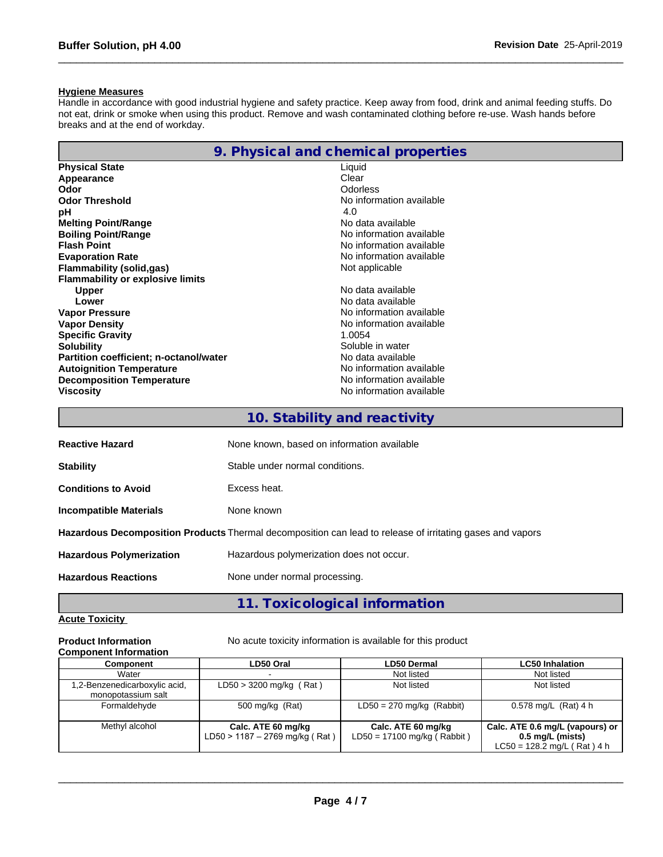#### **Hygiene Measures**

Handle in accordance with good industrial hygiene and safety practice. Keep away from food, drink and animal feeding stuffs. Do not eat, drink or smoke when using this product. Remove and wash contaminated clothing before re-use. Wash hands before breaks and at the end of workday.

|                                         | 9. Physical and chemical properties |
|-----------------------------------------|-------------------------------------|
| <b>Physical State</b>                   | Liquid                              |
| Appearance                              | Clear                               |
| Odor                                    | <b>Odorless</b>                     |
| <b>Odor Threshold</b>                   | No information available            |
| рH                                      | 4.0                                 |
| <b>Melting Point/Range</b>              | No data available                   |
| <b>Boiling Point/Range</b>              | No information available            |
| <b>Flash Point</b>                      | No information available            |
| <b>Evaporation Rate</b>                 | No information available            |
| Flammability (solid,gas)                | Not applicable                      |
| <b>Flammability or explosive limits</b> |                                     |
| <b>Upper</b>                            | No data available                   |
| Lower                                   | No data available                   |
| <b>Vapor Pressure</b>                   | No information available            |
| <b>Vapor Density</b>                    | No information available            |
| <b>Specific Gravity</b>                 | 1.0054                              |
| <b>Solubility</b>                       | Soluble in water                    |
| Partition coefficient; n-octanol/water  | No data available                   |
| <b>Autoignition Temperature</b>         | No information available            |
| <b>Decomposition Temperature</b>        | No information available            |
| <b>Viscosity</b>                        | No information available            |
|                                         |                                     |

|  |  |  | 10. Stability and reactivity |  |
|--|--|--|------------------------------|--|
|--|--|--|------------------------------|--|

| <b>Reactive Hazard</b>                                                                                           | None known, based on information available |  |
|------------------------------------------------------------------------------------------------------------------|--------------------------------------------|--|
| <b>Stability</b>                                                                                                 | Stable under normal conditions.            |  |
| <b>Conditions to Avoid</b>                                                                                       | Excess heat.                               |  |
| Incompatible Materials                                                                                           | None known                                 |  |
| <b>Hazardous Decomposition Products</b> Thermal decomposition can lead to release of irritating gases and vapors |                                            |  |
| <b>Hazardous Polymerization</b>                                                                                  | Hazardous polymerization does not occur.   |  |
| <b>Hazardous Reactions</b>                                                                                       | None under normal processing.              |  |

# **11. Toxicological information**

### **Acute Toxicity**

#### **Component Information**

**Product Information** No acute toxicity information is available for this product

| <b>UUIIIDUIIEIII IIIIUIIIIIIIUII</b>                |                                                      |                                                     |                                                                                        |
|-----------------------------------------------------|------------------------------------------------------|-----------------------------------------------------|----------------------------------------------------------------------------------------|
| <b>Component</b>                                    | LD50 Oral                                            | <b>LD50 Dermal</b>                                  | <b>LC50 Inhalation</b>                                                                 |
| Water                                               |                                                      | Not listed                                          | Not listed                                                                             |
| 1,2-Benzenedicarboxylic acid,<br>monopotassium salt | $LD50 > 3200$ mg/kg (Rat)                            | Not listed                                          | Not listed                                                                             |
| Formaldehvde                                        | 500 mg/kg (Rat)                                      | $LD50 = 270$ mg/kg (Rabbit)                         | $0.578$ mg/L (Rat) 4 h                                                                 |
| Methyl alcohol                                      | Calc. ATE 60 mg/kg<br>LD50 > 1187 - 2769 mg/kg (Rat) | Calc. ATE 60 mg/kg<br>$LD50 = 17100$ mg/kg (Rabbit) | Calc. ATE 0.6 mg/L (vapours) or<br>$0.5$ mg/L (mists)<br>$LC50 = 128.2$ mg/L (Rat) 4 h |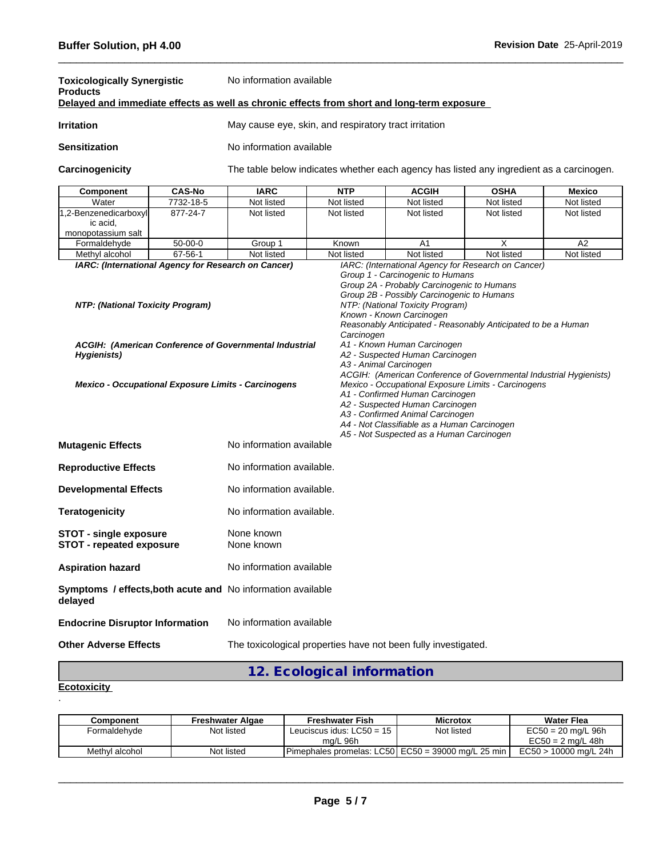| <b>Toxicologically Synergistic</b><br><b>Products</b>                                                                        |               | No information available<br>Delayed and immediate effects as well as chronic effects from short and long-term exposure                                                                                                                                                                                                                                                                                                                                        |            |                                          |                                                                                          |            |  |  |
|------------------------------------------------------------------------------------------------------------------------------|---------------|---------------------------------------------------------------------------------------------------------------------------------------------------------------------------------------------------------------------------------------------------------------------------------------------------------------------------------------------------------------------------------------------------------------------------------------------------------------|------------|------------------------------------------|------------------------------------------------------------------------------------------|------------|--|--|
| <b>Irritation</b>                                                                                                            |               | May cause eye, skin, and respiratory tract irritation                                                                                                                                                                                                                                                                                                                                                                                                         |            |                                          |                                                                                          |            |  |  |
| <b>Sensitization</b>                                                                                                         |               | No information available                                                                                                                                                                                                                                                                                                                                                                                                                                      |            |                                          |                                                                                          |            |  |  |
| Carcinogenicity                                                                                                              |               |                                                                                                                                                                                                                                                                                                                                                                                                                                                               |            |                                          | The table below indicates whether each agency has listed any ingredient as a carcinogen. |            |  |  |
| Component                                                                                                                    | <b>CAS-No</b> | <b>IARC</b>                                                                                                                                                                                                                                                                                                                                                                                                                                                   | <b>NTP</b> | <b>ACGIH</b>                             | <b>OSHA</b>                                                                              | Mexico     |  |  |
| Water                                                                                                                        | 7732-18-5     | Not listed                                                                                                                                                                                                                                                                                                                                                                                                                                                    | Not listed | Not listed                               | Not listed                                                                               | Not listed |  |  |
| 1,2-Benzenedicarboxyl<br>ic acid,<br>monopotassium salt                                                                      | 877-24-7      | Not listed                                                                                                                                                                                                                                                                                                                                                                                                                                                    | Not listed | Not listed                               | Not listed                                                                               | Not listed |  |  |
| Formaldehyde                                                                                                                 | $50-00-0$     | Group 1                                                                                                                                                                                                                                                                                                                                                                                                                                                       | Known      | A <sub>1</sub>                           | X                                                                                        | A2         |  |  |
| Methyl alcohol                                                                                                               | 67-56-1       | Not listed                                                                                                                                                                                                                                                                                                                                                                                                                                                    | Not listed | Not listed                               | Not listed                                                                               | Not listed |  |  |
| ACGIH: (American Conference of Governmental Industrial<br>Hygienists)<br>Mexico - Occupational Exposure Limits - Carcinogens |               | Reasonably Anticipated - Reasonably Anticipated to be a Human<br>Carcinogen<br>A1 - Known Human Carcinogen<br>A2 - Suspected Human Carcinogen<br>A3 - Animal Carcinogen<br>ACGIH: (American Conference of Governmental Industrial Hygienists)<br>Mexico - Occupational Exposure Limits - Carcinogens<br>A1 - Confirmed Human Carcinogen<br>A2 - Suspected Human Carcinogen<br>A3 - Confirmed Animal Carcinogen<br>A4 - Not Classifiable as a Human Carcinogen |            |                                          |                                                                                          |            |  |  |
| No information available<br><b>Mutagenic Effects</b>                                                                         |               |                                                                                                                                                                                                                                                                                                                                                                                                                                                               |            | A5 - Not Suspected as a Human Carcinogen |                                                                                          |            |  |  |
| <b>Reproductive Effects</b>                                                                                                  |               | No information available.                                                                                                                                                                                                                                                                                                                                                                                                                                     |            |                                          |                                                                                          |            |  |  |
| <b>Developmental Effects</b>                                                                                                 |               | No information available.                                                                                                                                                                                                                                                                                                                                                                                                                                     |            |                                          |                                                                                          |            |  |  |
| <b>Teratogenicity</b>                                                                                                        |               | No information available.                                                                                                                                                                                                                                                                                                                                                                                                                                     |            |                                          |                                                                                          |            |  |  |
| <b>STOT - single exposure</b><br><b>STOT - repeated exposure</b>                                                             |               | None known<br>None known                                                                                                                                                                                                                                                                                                                                                                                                                                      |            |                                          |                                                                                          |            |  |  |
| <b>Aspiration hazard</b>                                                                                                     |               | No information available                                                                                                                                                                                                                                                                                                                                                                                                                                      |            |                                          |                                                                                          |            |  |  |
| Symptoms / effects, both acute and No information available<br>delayed                                                       |               |                                                                                                                                                                                                                                                                                                                                                                                                                                                               |            |                                          |                                                                                          |            |  |  |
| <b>Endocrine Disruptor Information</b>                                                                                       |               | No information available                                                                                                                                                                                                                                                                                                                                                                                                                                      |            |                                          |                                                                                          |            |  |  |
| <b>Other Adverse Effects</b>                                                                                                 |               | The toxicological properties have not been fully investigated.                                                                                                                                                                                                                                                                                                                                                                                                |            |                                          |                                                                                          |            |  |  |

# **12. Ecological information**

#### **Ecotoxicity**  .

| Component      | <b>Freshwater Algae</b> | <b>Freshwater Fish</b>                             | <b>Microtox</b> | Water Flea            |
|----------------|-------------------------|----------------------------------------------------|-----------------|-----------------------|
| Formaldehyde   | Not listed              | Leuciscus idus: $LC50 = 15$                        | Not listed      | $EC50 = 20$ mg/L 96h  |
|                |                         | ma/L 96h                                           |                 | $EC50 = 2$ ma/L 48h   |
| Methvl alcohol | Not listed              | Pimephales promelas: LC50 EC50 = 39000 mg/L 25 min |                 | EC50 > 10000 mg/L 24h |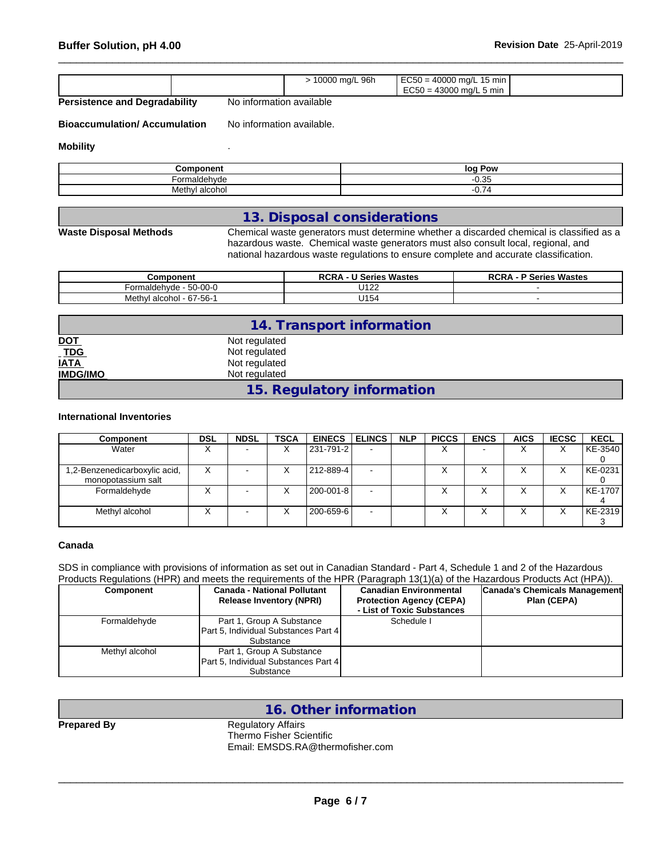|  |  |  | 10000 mg/L 96h | $EC50 = 40000$ mg/L 15 min<br>$EC50 = 43000$ mg/L 5 min |  |
|--|--|--|----------------|---------------------------------------------------------|--|
|--|--|--|----------------|---------------------------------------------------------|--|

**Persistence and Degradability** No information available

**Bioaccumulation/ Accumulation** No information available.

#### **Mobility** .

| √omponen       | log<br>Pow                            |
|----------------|---------------------------------------|
| Formaldehvde   | 0.25<br>U. 35                         |
| Methyl alcohol | $\overline{\phantom{a}}$<br>ے ،<br>◡. |

#### **13. Disposal considerations**

**Waste Disposal Methods** Chemical waste generators must determine whether a discarded chemical is classified as a hazardous waste. Chemical waste generators must also consult local, regional, and national hazardous waste regulations to ensure complete and accurate classification.

| <b>Component</b>                               | <b>U Series Wastes</b><br><b>RCR</b> | <sup>o</sup> Series Wastes<br>חמה<br>ベしドバ |
|------------------------------------------------|--------------------------------------|-------------------------------------------|
| $\sim$ $\sim$<br><u>-^</u><br>50-UU-U<br>aluer | 1400<br>◡◦▵▵                         |                                           |
| . 67-56-1<br>Methy <sup>*</sup><br>alcohol     | 111F<br>⊣ 34 آ ل                     |                                           |

|                            | 14. Transport information  |  |
|----------------------------|----------------------------|--|
|                            | Not regulated              |  |
| <u>DOT</u><br>_ <u>TDG</u> | Not regulated              |  |
| <b>IATA</b>                | Not regulated              |  |
| <b>IMDG/IMO</b>            | Not regulated              |  |
|                            | 15. Regulatory information |  |

#### **International Inventories**

| Component                     | <b>DSL</b>       | <b>NDSL</b>              | <b>TSCA</b>      | <b>EINECS</b> | <b>ELINCS</b> | <b>NLP</b> | <b>PICCS</b>      | <b>ENCS</b>              | <b>AICS</b> | <b>IECSC</b> | <b>KECL</b> |
|-------------------------------|------------------|--------------------------|------------------|---------------|---------------|------------|-------------------|--------------------------|-------------|--------------|-------------|
| Water                         |                  | $\overline{\phantom{a}}$ | $\check{ }$<br>⋏ | 231-791-2     |               |            | $\checkmark$<br>∧ | $\overline{\phantom{0}}$ |             |              | KE-3540     |
|                               |                  |                          |                  |               |               |            |                   |                          |             |              |             |
| 1,2-Benzenedicarboxylic acid, | $\check{ }$<br>⌒ |                          | $\check{ }$<br>∧ | 212-889-4     |               |            |                   |                          |             |              | KE-0231     |
| monopotassium salt            |                  |                          |                  |               |               |            |                   |                          |             |              |             |
| Formaldehyde                  |                  |                          | $\check{ }$<br>∧ | 200-001-8     |               |            | v                 | ⌒                        |             |              | KE-1707     |
|                               |                  |                          |                  |               |               |            |                   |                          |             |              |             |
| Methyl alcohol                |                  | $\overline{\phantom{a}}$ | $\check{ }$<br>∧ | 200-659-6     | <b>.</b>      |            |                   |                          |             |              | KE-2319     |
|                               |                  |                          |                  |               |               |            |                   |                          |             |              |             |

#### **Canada**

SDS in compliance with provisions of information as set out in Canadian Standard - Part 4, Schedule 1 and 2 of the Hazardous Products Regulations (HPR) and meets the requirements of the HPR (Paragraph 13(1)(a) of the Hazardous Products Act (HPA)).

| <b>Component</b> | <b>Canada - National Pollutant</b><br><b>Release Inventory (NPRI)</b>          | <b>Canadian Environmental</b><br><b>Protection Agency (CEPA)</b><br>- List of Toxic Substances | Canada's Chemicals Management<br>Plan (CEPA) |
|------------------|--------------------------------------------------------------------------------|------------------------------------------------------------------------------------------------|----------------------------------------------|
| Formaldehyde     | Part 1, Group A Substance<br>Part 5, Individual Substances Part 4<br>Substance | Schedule I                                                                                     |                                              |
| Methyl alcohol   | Part 1, Group A Substance<br>Part 5, Individual Substances Part 4<br>Substance |                                                                                                |                                              |

| - | <br>٠ |  |
|---|-------|--|

**16. Other information**

**Regulatory Affairs** Thermo Fisher Scientific Email: EMSDS.RA@thermofisher.com